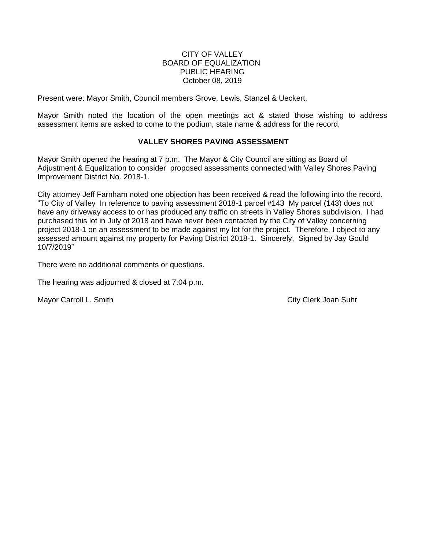## CITY OF VALLEY BOARD OF EQUALIZATION PUBLIC HEARING October 08, 2019

Present were: Mayor Smith, Council members Grove, Lewis, Stanzel & Ueckert.

Mayor Smith noted the location of the open meetings act & stated those wishing to address assessment items are asked to come to the podium, state name & address for the record.

# **VALLEY SHORES PAVING ASSESSMENT**

Mayor Smith opened the hearing at 7 p.m. The Mayor & City Council are sitting as Board of Adjustment & Equalization to consider proposed assessments connected with Valley Shores Paving Improvement District No. 2018-1.

City attorney Jeff Farnham noted one objection has been received & read the following into the record. "To City of Valley In reference to paving assessment 2018-1 parcel #143 My parcel (143) does not have any driveway access to or has produced any traffic on streets in Valley Shores subdivision. I had purchased this lot in July of 2018 and have never been contacted by the City of Valley concerning project 2018-1 on an assessment to be made against my lot for the project. Therefore, I object to any assessed amount against my property for Paving District 2018-1. Sincerely, Signed by Jay Gould 10/7/2019"

There were no additional comments or questions.

The hearing was adjourned & closed at 7:04 p.m.

Mayor Carroll L. Smith City Clerk Joan Suhr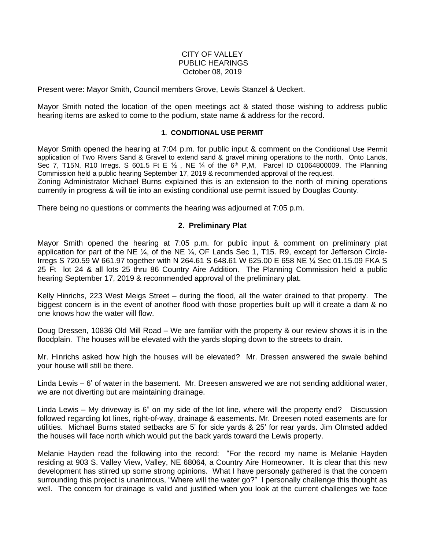## CITY OF VALLEY PUBLIC HEARINGS October 08, 2019

Present were: Mayor Smith, Council members Grove, Lewis Stanzel & Ueckert.

Mayor Smith noted the location of the open meetings act & stated those wishing to address public hearing items are asked to come to the podium, state name & address for the record.

#### **1. CONDITIONAL USE PERMIT**

Mayor Smith opened the hearing at 7:04 p.m. for public input & comment on the Conditional Use Permit application of Two Rivers Sand & Gravel to extend sand & gravel mining operations to the north. Onto Lands, Sec 7, T15N, R10 Irregs. S 601.5 Ft E 1/2, NE 1/4 of the 6<sup>th</sup> P,M, Parcel ID 01064800009. The Planning Commission held a public hearing September 17, 2019 & recommended approval of the request.

Zoning Administrator Michael Burns explained this is an extension to the north of mining operations currently in progress & will tie into an existing conditional use permit issued by Douglas County.

There being no questions or comments the hearing was adjourned at 7:05 p.m.

### **2. Preliminary Plat**

Mayor Smith opened the hearing at 7:05 p.m. for public input & comment on preliminary plat application for part of the NE ¼, of the NE ¼, OF Lands Sec 1, T15. R9, except for Jefferson Circle-Irregs S 720.59 W 661.97 together with N 264.61 S 648.61 W 625.00 E 658 NE ¼ Sec 01.15.09 FKA S 25 Ft lot 24 & all lots 25 thru 86 Country Aire Addition. The Planning Commission held a public hearing September 17, 2019 & recommended approval of the preliminary plat.

Kelly Hinrichs, 223 West Meigs Street – during the flood, all the water drained to that property. The biggest concern is in the event of another flood with those properties built up will it create a dam & no one knows how the water will flow.

Doug Dressen, 10836 Old Mill Road – We are familiar with the property & our review shows it is in the floodplain. The houses will be elevated with the yards sloping down to the streets to drain.

Mr. Hinrichs asked how high the houses will be elevated? Mr. Dressen answered the swale behind your house will still be there.

Linda Lewis – 6' of water in the basement. Mr. Dreesen answered we are not sending additional water, we are not diverting but are maintaining drainage.

Linda Lewis – My driveway is 6" on my side of the lot line, where will the property end? Discussion followed regarding lot lines, right-of-way, drainage & easements. Mr. Dreesen noted easements are for utilities. Michael Burns stated setbacks are 5' for side yards & 25' for rear yards. Jim Olmsted added the houses will face north which would put the back yards toward the Lewis property.

Melanie Hayden read the following into the record: "For the record my name is Melanie Hayden residing at 903 S. Valley View, Valley, NE 68064, a Country Aire Homeowner. It is clear that this new development has stirred up some strong opinions. What I have personaly gathered is that the concern surrounding this project is unanimous, "Where will the water go?" I personally challenge this thought as well. The concern for drainage is valid and justified when you look at the current challenges we face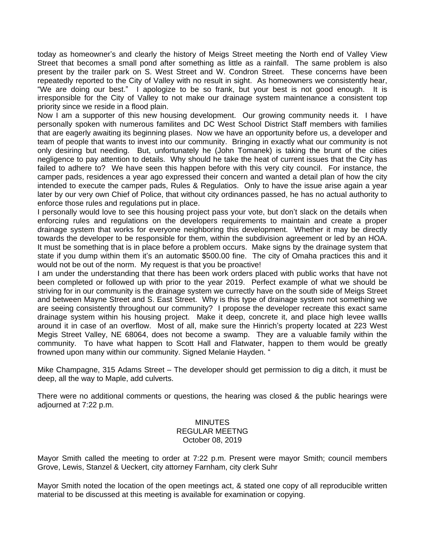today as homeowner's and clearly the history of Meigs Street meeting the North end of Valley View Street that becomes a small pond after something as little as a rainfall. The same problem is also present by the trailer park on S. West Street and W. Condron Street. These concerns have been repeatedly reported to the City of Valley with no result in sight. As homeowners we consistently hear, "We are doing our best." I apologize to be so frank, but your best is not good enough. It is irresponsible for the City of Valley to not make our drainage system maintenance a consistent top priority since we reside in a flood plain.

Now I am a supporter of this new housing development. Our growing community needs it. I have personally spoken with numerous familites and DC West School District Staff members with families that are eagerly awaiting its beginning plases. Now we have an opportunity before us, a developer and team of people that wants to invest into our community. Bringing in exactly what our community is not only desiring but needing. But, unfortunately he (John Tomanek) is taking the brunt of the cities negligence to pay attention to details. Why should he take the heat of current issues that the City has failed to adhere to? We have seen this happen before with this very city council. For instance, the camper pads, residences a year ago expressed their concern and wanted a detail plan of how the city intended to execute the camper pads, Rules & Regulatios. Only to have the issue arise again a year later by our very own Chief of Police, that without city ordinances passed, he has no actual authority to enforce those rules and regulations put in place.

I personally would love to see this housing project pass your vote, but don't slack on the details when enforcing rules and regulations on the developers requirements to maintain and create a proper drainage system that works for everyone neighboring this development. Whether it may be directly towards the developer to be responsible for them, within the subdivision agreement or led by an HOA. It must be something that is in place before a problem occurs. Make signs by the drainage system that state if you dump within them it's an automatic \$500.00 fine. The city of Omaha practices this and it would not be out of the norm. My request is that you be proactive!

I am under the understanding that there has been work orders placed with public works that have not been completed or followed up with prior to the year 2019. Perfect example of what we should be striving for in our community is the drainage system we currectly have on the south side of Meigs Street and between Mayne Street and S. East Street. Why is this type of drainage system not something we are seeing consistently throughout our community? I propose the developer recreate this exact same drainage system within his housing project. Make it deep, concrete it, and place high levee wallls around it in case of an overflow. Most of all, make sure the Hinrich's property located at 223 West Megis Street Valley, NE 68064, does not become a swamp. They are a valuable family within the community. To have what happen to Scott Hall and Flatwater, happen to them would be greatly frowned upon many within our community. Signed Melanie Hayden. "

Mike Champagne, 315 Adams Street – The developer should get permission to dig a ditch, it must be deep, all the way to Maple, add culverts.

There were no additional comments or questions, the hearing was closed & the public hearings were adjourned at 7:22 p.m.

### MINUTES REGULAR MEETNG October 08, 2019

Mayor Smith called the meeting to order at 7:22 p.m. Present were mayor Smith; council members Grove, Lewis, Stanzel & Ueckert, city attorney Farnham, city clerk Suhr

Mayor Smith noted the location of the open meetings act, & stated one copy of all reproducible written material to be discussed at this meeting is available for examination or copying.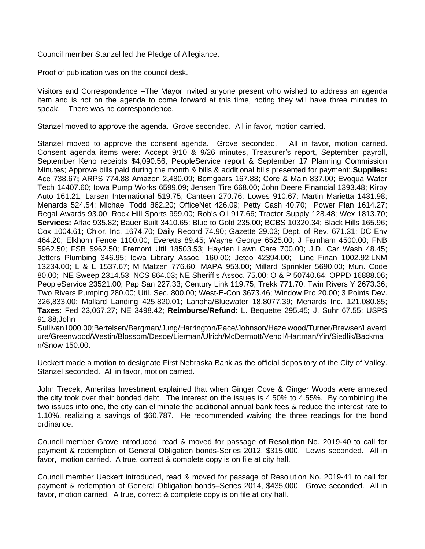Council member Stanzel led the Pledge of Allegiance.

Proof of publication was on the council desk.

Visitors and Correspondence –The Mayor invited anyone present who wished to address an agenda item and is not on the agenda to come forward at this time, noting they will have three minutes to speak. There was no correspondence.

Stanzel moved to approve the agenda. Grove seconded. All in favor, motion carried.

Stanzel moved to approve the consent agenda. Grove seconded. All in favor, motion carried. Consent agenda items were: Accept 9/10 & 9/26 minutes, Treasurer's report, September payroll, September Keno receipts \$4,090.56, PeopleService report & September 17 Planning Commission Minutes; Approve bills paid during the month & bills & additional bills presented for payment;.**Supplies:** Ace 738.67**;** ARPS 774.88 Amazon 2,480.09; Bomgaars 167.88; Core & Main 837.00; Evoqua Water Tech 14407.60; Iowa Pump Works 6599.09; Jensen Tire 668.00; John Deere Financial 1393.48; Kirby Auto 161.21; Larsen International 519.75; Canteen 270.76; Lowes 910.67; Martin Marietta 1431.98; Menards 524.54; Michael Todd 862.20; OfficeNet 426.09; Petty Cash 40.70; Power Plan 1614.27; Regal Awards 93.00; Rock Hill Sports 999.00; Rob's Oil 917.66; Tractor Supply 128.48; Wex 1813.70; **Services:** Aflac 935.82; Bauer Built 3410.65; Blue to Gold 235.00; BCBS 10320.34; Black Hills 165.96; Cox 1004.61; Chlor. Inc. 1674.70; Daily Record 74.90; Gazette 29.03; Dept. of Rev. 671.31; DC Env 464.20; Elkhorn Fence 1100.00; Everetts 89.45; Wayne George 6525.00; J Farnham 4500.00; FNB 5962.50; FSB 5962.50; Fremont Util 18503.53; Hayden Lawn Care 700.00; J.D. Car Wash 48.45; Jetters Plumbing 346.95; Iowa Library Assoc. 160.00; Jetco 42394.00; Linc Finan 1002.92;LNM 13234.00; L & L 1537.67; M Matzen 776.60; MAPA 953.00; Millard Sprinkler 5690.00; Mun. Code 80.00; NE Sweep 2314.53; NCS 864.03; NE Sheriff's Assoc. 75.00; O & P 50740.64; OPPD 16888.06; PeopleService 23521.00; Pap San 227.33; Century Link 119.75; Trekk 771.70; Twin Rivers Y 2673.36; Two Rivers Pumping 280.00; Util. Sec. 800.00; West-E-Con 3673.46; Window Pro 20.00; 3 Points Dev. 326,833.00; Mallard Landing 425,820.01; Lanoha/Bluewater 18,8077.39; Menards Inc. 121,080.85; **Taxes:** Fed 23,067.27; NE 3498.42; **Reimburse/Refund**: L. Bequette 295.45; J. Suhr 67.55; USPS 91.88;John

Sullivan1000.00;Bertelsen/Bergman/Jung/Harrington/Pace/Johnson/Hazelwood/Turner/Brewser/Laverd ure/Greenwood/Westin/Blossom/Desoe/Lierman/Ulrich/McDermott/Vencil/Hartman/Yin/Siedlik/Backma n/Snow 150.00.

Ueckert made a motion to designate First Nebraska Bank as the official depository of the City of Valley. Stanzel seconded. All in favor, motion carried.

John Trecek, Ameritas Investment explained that when Ginger Cove & Ginger Woods were annexed the city took over their bonded debt. The interest on the issues is 4.50% to 4.55%. By combining the two issues into one, the city can eliminate the additional annual bank fees & reduce the interest rate to 1.10%, realizing a savings of \$60,787. He recommended waiving the three readings for the bond ordinance.

Council member Grove introduced, read & moved for passage of Resolution No. 2019-40 to call for payment & redemption of General Obligation bonds-Series 2012, \$315,000. Lewis seconded. All in favor, motion carried. A true, correct & complete copy is on file at city hall.

Council member Ueckert introduced, read & moved for passage of Resolution No. 2019-41 to call for payment & redemption of General Obligation bonds–Series 2014, \$435,000. Grove seconded. All in favor, motion carried. A true, correct & complete copy is on file at city hall.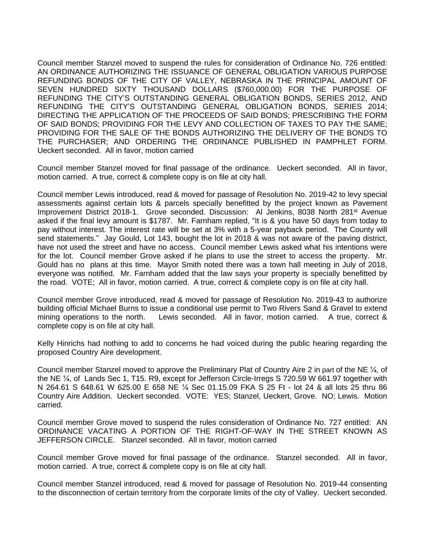Council member Stanzel moved to suspend the rules for consideration of Ordinance No. 726 entitled: AN ORDINANCE AUTHORIZING THE ISSUANCE OF GENERAL OBLIGATION VARIOUS PURPOSE REFUNDING BONDS OF THE CITY OF VALLEY, NEBRASKA IN THE PRINCIPAL AMOUNT OF SEVEN HUNDRED SIXTY THOUSAND DOLLARS (\$760,000.00) FOR THE PURPOSE OF REFUNDING THE CITY'S OUTSTANDING GENERAL OBLIGATION BONDS, SERIES 2012, AND REFUNDING THE CITY'S OUTSTANDING GENERAL OBLIGATION BONDS, SERIES 2014; DIRECTING THE APPLICATION OF THE PROCEEDS OF SAID BONDS; PRESCRIBING THE FORM OF SAID BONDS; PROVIDING FOR THE LEVY AND COLLECTION OF TAXES TO PAY THE SAME; PROVIDING FOR THE SALE OF THE BONDS AUTHORIZING THE DELIVERY OF THE BONDS TO THE PURCHASER; AND ORDERING THE ORDINANCE PUBLISHED IN PAMPHLET FORM. Ueckert seconded. All in favor, motion carried

Council member Stanzel moved for final passage of the ordinance. Ueckert seconded. All in favor, motion carried. A true, correct & complete copy is on file at city hall.

Council member Lewis introduced, read & moved for passage of Resolution No. 2019-42 to levy special assessments against certain lots & parcels specially benefitted by the project known as Pavement Improvement District 2018-1. Grove seconded. Discussion: Al Jenkins, 8038 North 281<sup>st</sup> Avenue asked if the final levy amount is \$1787. Mr. Farnham replied, "It is & you have 50 days from today to pay without interest. The interest rate will be set at 3% with a 5-year payback period. The County will send statements." Jay Gould, Lot 143, bought the lot in 2018 & was not aware of the paving district, have not used the street and have no access. Council member Lewis asked what his intentions were for the lot. Council member Grove asked if he plans to use the street to access the property. Mr. Gould has no plans at this time. Mayor Smith noted there was a town hall meeting in July of 2018, everyone was notified. Mr. Farnham added that the law says your property is specially benefitted by the road. VOTE; All in favor, motion carried. A true, correct & complete copy is on file at city hall.

Council member Grove introduced, read & moved for passage of Resolution No. 2019-43 to authorize building official Michael Burns to issue a conditional use permit to Two Rivers Sand & Gravel to extend mining operations to the north. Lewis seconded. All in favor, motion carried. A true, correct & complete copy is on file at city hall.

Kelly Hinrichs had nothing to add to concerns he had voiced during the public hearing regarding the proposed Country Aire development.

Council member Stanzel moved to approve the Preliminary Plat of Country Aire 2 in part of the NE ¼, of the NE ¼, of Lands Sec 1, T15. R9, except for Jefferson Circle-Irregs S 720.59 W 661.97 together with N 264.61 S 648.61 W 625.00 E 658 NE ¼ Sec 01.15.09 FKA S 25 Ft - lot 24 & all lots 25 thru 86 Country Aire Addition. Ueckert seconded. VOTE: YES; Stanzel, Ueckert, Grove. NO; Lewis. Motion carried.

Council member Grove moved to suspend the rules consideration of Ordinance No. 727 entitled: AN ORDINANCE VACATING A PORTION OF THE RIGHT-OF-WAY IN THE STREET KNOWN AS JEFFERSON CIRCLE. Stanzel seconded. All in favor, motion carried

Council member Grove moved for final passage of the ordinance. Stanzel seconded. All in favor, motion carried. A true, correct & complete copy is on file at city hall.

Council member Stanzel introduced, read & moved for passage of Resolution No. 2019-44 consenting to the disconnection of certain territory from the corporate limits of the city of Valley. Ueckert seconded.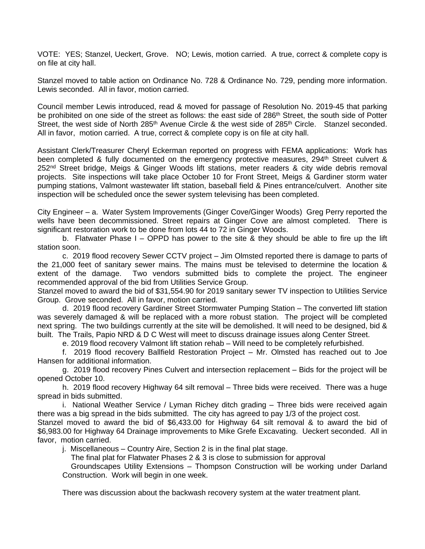VOTE: YES; Stanzel, Ueckert, Grove. NO; Lewis, motion carried. A true, correct & complete copy is on file at city hall.

Stanzel moved to table action on Ordinance No. 728 & Ordinance No. 729, pending more information. Lewis seconded. All in favor, motion carried.

Council member Lewis introduced, read & moved for passage of Resolution No. 2019-45 that parking be prohibited on one side of the street as follows: the east side of 286<sup>th</sup> Street, the south side of Potter Street, the west side of North 285<sup>th</sup> Avenue Circle & the west side of 285<sup>th</sup> Circle. Stanzel seconded. All in favor, motion carried. A true, correct & complete copy is on file at city hall.

Assistant Clerk/Treasurer Cheryl Eckerman reported on progress with FEMA applications: Work has been completed & fully documented on the emergency protective measures, 294<sup>th</sup> Street culvert & 252<sup>nd</sup> Street bridge, Meigs & Ginger Woods lift stations, meter readers & city wide debris removal projects. Site inspections will take place October 10 for Front Street, Meigs & Gardiner storm water pumping stations, Valmont wastewater lift station, baseball field & Pines entrance/culvert. Another site inspection will be scheduled once the sewer system televising has been completed.

City Engineer – a. Water System Improvements (Ginger Cove/Ginger Woods) Greg Perry reported the wells have been decommissioned. Street repairs at Ginger Cove are almost completed. There is significant restoration work to be done from lots 44 to 72 in Ginger Woods.

b. Flatwater Phase  $I -$  OPPD has power to the site & they should be able to fire up the lift station soon.

c. 2019 flood recovery Sewer CCTV project – Jim Olmsted reported there is damage to parts of the 21,000 feet of sanitary sewer mains. The mains must be televised to determine the location & extent of the damage. Two vendors submitted bids to complete the project. The engineer recommended approval of the bid from Utilities Service Group.

Stanzel moved to award the bid of \$31,554.90 for 2019 sanitary sewer TV inspection to Utilities Service Group. Grove seconded. All in favor, motion carried.

d. 2019 flood recovery Gardiner Street Stormwater Pumping Station – The converted lift station was severely damaged & will be replaced with a more robust station. The project will be completed next spring. The two buildings currently at the site will be demolished. It will need to be designed, bid & built. The Trails, Papio NRD & D C West will meet to discuss drainage issues along Center Street.

e. 2019 flood recovery Valmont lift station rehab – Will need to be completely refurbished.

f. 2019 flood recovery Ballfield Restoration Project – Mr. Olmsted has reached out to Joe Hansen for additional information.

g. 2019 flood recovery Pines Culvert and intersection replacement – Bids for the project will be opened October 10.

h. 2019 flood recovery Highway 64 silt removal – Three bids were received. There was a huge spread in bids submitted.

i. National Weather Service / Lyman Richey ditch grading – Three bids were received again there was a big spread in the bids submitted. The city has agreed to pay 1/3 of the project cost.

Stanzel moved to award the bid of \$6,433.00 for Highway 64 silt removal & to award the bid of \$6,983.00 for Highway 64 Drainage improvements to Mike Grefe Excavating. Ueckert seconded. All in favor, motion carried.

j. Miscellaneous – Country Aire, Section 2 is in the final plat stage.

The final plat for Flatwater Phases 2 & 3 is close to submission for approval

Groundscapes Utility Extensions – Thompson Construction will be working under Darland Construction. Work will begin in one week.

There was discussion about the backwash recovery system at the water treatment plant.